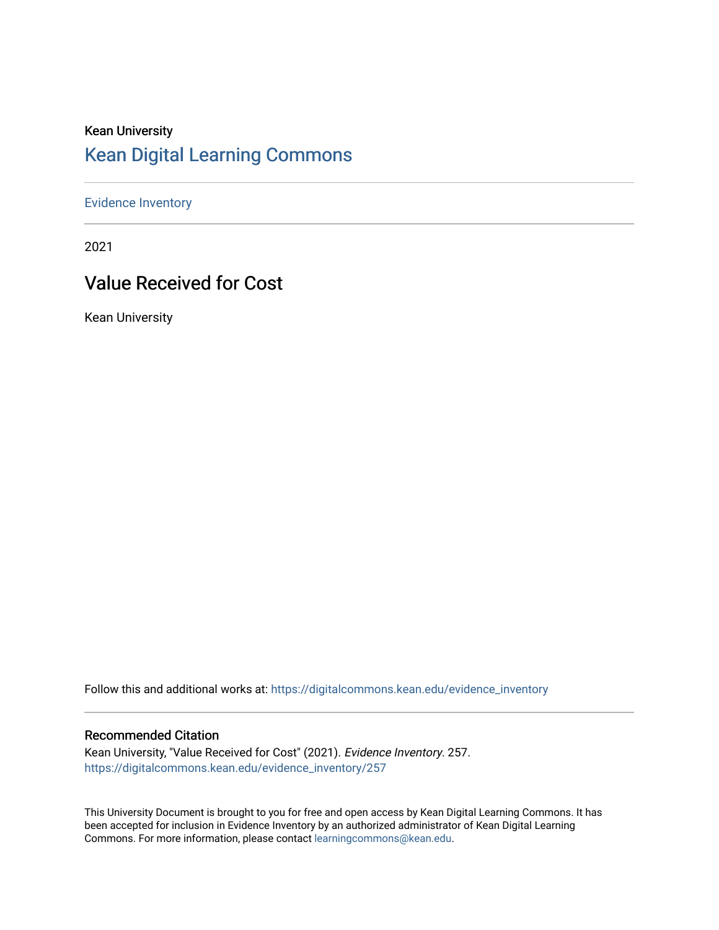### Kean University [Kean Digital Learning Commons](https://digitalcommons.kean.edu/)

[Evidence Inventory](https://digitalcommons.kean.edu/evidence_inventory) 

2021

## Value Received for Cost

Kean University

Follow this and additional works at: [https://digitalcommons.kean.edu/evidence\\_inventory](https://digitalcommons.kean.edu/evidence_inventory?utm_source=digitalcommons.kean.edu%2Fevidence_inventory%2F257&utm_medium=PDF&utm_campaign=PDFCoverPages)

#### Recommended Citation

Kean University, "Value Received for Cost" (2021). Evidence Inventory. 257. [https://digitalcommons.kean.edu/evidence\\_inventory/257](https://digitalcommons.kean.edu/evidence_inventory/257?utm_source=digitalcommons.kean.edu%2Fevidence_inventory%2F257&utm_medium=PDF&utm_campaign=PDFCoverPages)

This University Document is brought to you for free and open access by Kean Digital Learning Commons. It has been accepted for inclusion in Evidence Inventory by an authorized administrator of Kean Digital Learning Commons. For more information, please contact [learningcommons@kean.edu.](mailto:learningcommons@kean.edu)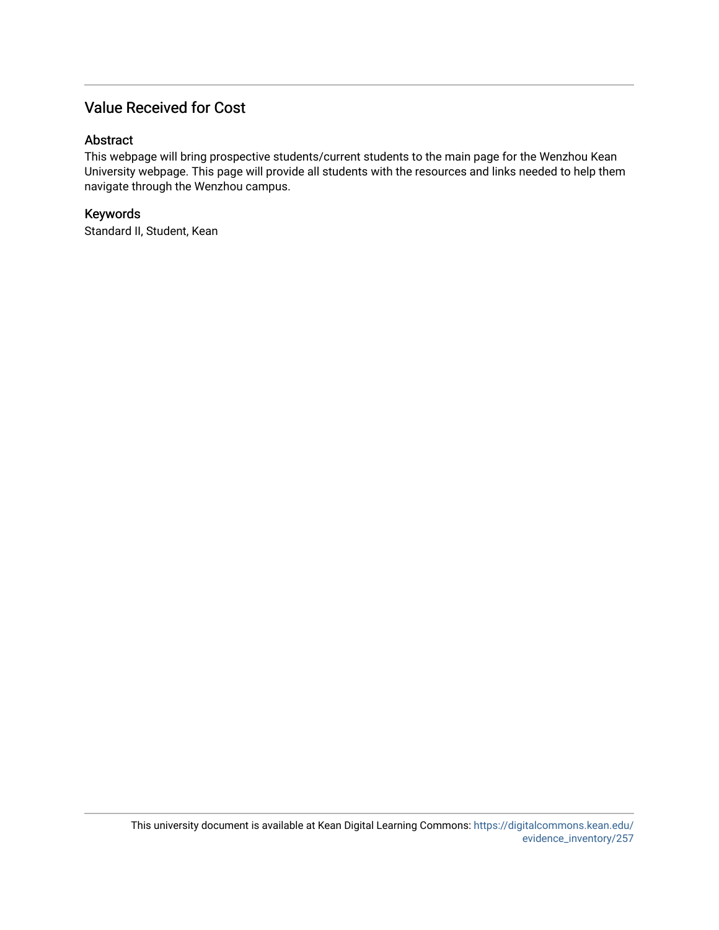### Value Received for Cost

#### Abstract

This webpage will bring prospective students/current students to the main page for the Wenzhou Kean University webpage. This page will provide all students with the resources and links needed to help them navigate through the Wenzhou campus.

### Keywords

Standard II, Student, Kean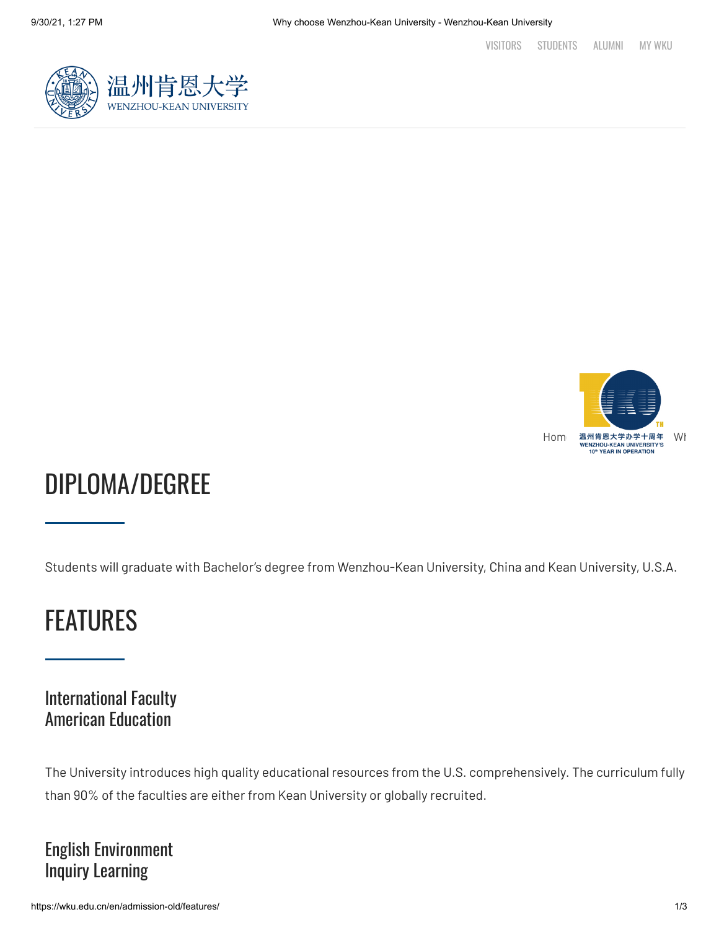



# DIPLOMA/DEGREE

Students will graduate with Bachelor's degree from Wenzhou-Kean University, China and Kean University, U.S.A.

## FEATURES

## International Faculty American Education

The University introduces high quality educational resources from the U.S. comprehensively. The curriculum fully than 90% of the faculties are either from Kean University or globally recruited.

## English Environment Inquiry Learning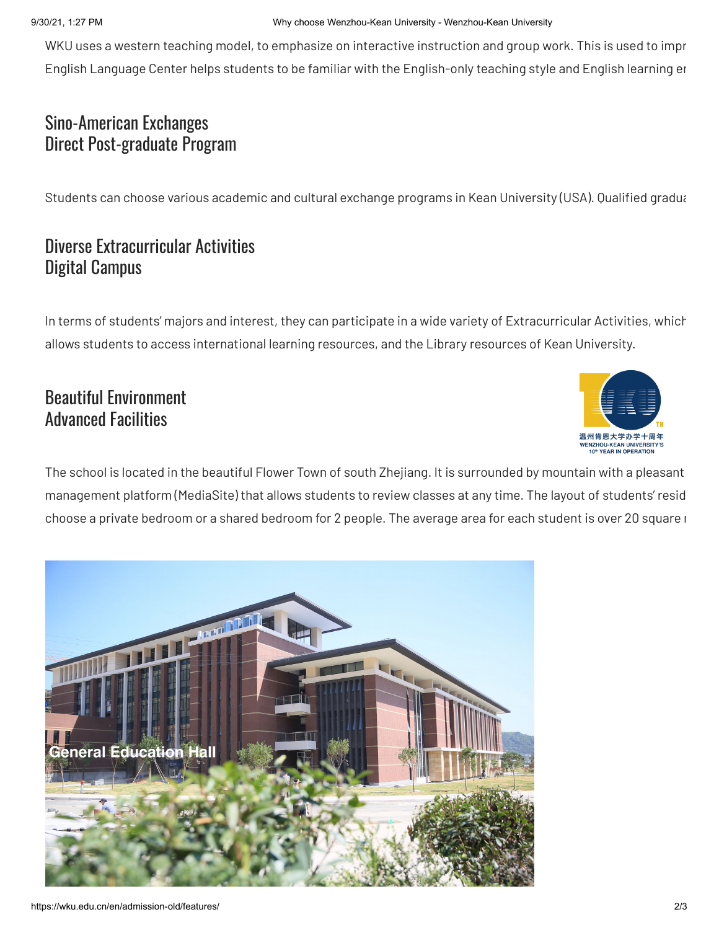WKU uses a western teaching model, to emphasize on interactive instruction and group work. This is used to impr English Language Center helps students to be familiar with the English-only teaching style and English learning en

## Sino-American Exchanges Direct Post-graduate Program

Students can choose various academic and cultural exchange programs in Kean University (USA). Qualified gradua

## Diverse Extracurricular Activities Digital Campus

In terms of students' majors and interest, they can participate in a wide variety of Extracurricular Activities, which allows students to access international learning resources, and the Library resources of Kean University.

## Beautiful Environment Advanced Facilities



The school is located in the beautiful Flower Town of south Zhejiang. It is surrounded by mountain with a pleasant management platform (MediaSite) that allows students to review classes at any time. The layout of students' resid choose a private bedroom or a shared bedroom for 2 people. The average area for each student is over 20 square i